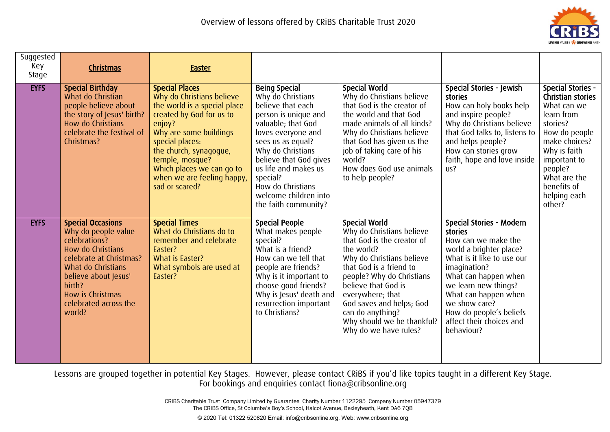

| Suggested<br>Key<br>Stage | <b>Christmas</b>                                                                                                                                                                                                                | <b>Easter</b>                                                                                                                                                                                                                                                                                   |                                                                                                                                                                                                                                                                                                                  |                                                                                                                                                                                                                                                                                                                                      |                                                                                                                                                                                                                                                                                                   |                                                                                                                                                                                                                              |
|---------------------------|---------------------------------------------------------------------------------------------------------------------------------------------------------------------------------------------------------------------------------|-------------------------------------------------------------------------------------------------------------------------------------------------------------------------------------------------------------------------------------------------------------------------------------------------|------------------------------------------------------------------------------------------------------------------------------------------------------------------------------------------------------------------------------------------------------------------------------------------------------------------|--------------------------------------------------------------------------------------------------------------------------------------------------------------------------------------------------------------------------------------------------------------------------------------------------------------------------------------|---------------------------------------------------------------------------------------------------------------------------------------------------------------------------------------------------------------------------------------------------------------------------------------------------|------------------------------------------------------------------------------------------------------------------------------------------------------------------------------------------------------------------------------|
| <b>EYFS</b>               | <b>Special Birthday</b><br>What do Christian<br>people believe about<br>the story of Jesus' birth?<br>How do Christians<br>celebrate the festival of<br>Christmas?                                                              | <b>Special Places</b><br>Why do Christians believe<br>the world is a special place<br>created by God for us to<br>enjoy?<br>Why are some buildings<br>special places:<br>the church, synagogue,<br>temple, mosque?<br>Which places we can go to<br>when we are feeling happy,<br>sad or scared? | <b>Being Special</b><br>Why do Christians<br>believe that each<br>person is unique and<br>valuable; that God<br>loves everyone and<br>sees us as equal?<br>Why do Christians<br>believe that God gives<br>us life and makes us<br>special?<br>How do Christians<br>welcome children into<br>the faith community? | <b>Special World</b><br>Why do Christians believe<br>that God is the creator of<br>the world and that God<br>made animals of all kinds?<br>Why do Christians believe<br>that God has given us the<br>job of taking care of his<br>world?<br>How does God use animals<br>to help people?                                              | Special Stories - Jewish<br>stories<br>How can holy books help<br>and inspire people?<br>Why do Christians believe<br>that God talks to, listens to<br>and helps people?<br>How can stories grow<br>faith, hope and love inside<br>us?                                                            | <b>Special Stories -</b><br>Christian stories<br>What can we<br>learn from<br>stories?<br>How do people<br>make choices?<br>Why is faith<br>important to<br>people?<br>What are the<br>benefits of<br>helping each<br>other? |
| <b>EYFS</b>               | <b>Special Occasions</b><br>Why do people value<br>celebrations?<br>How do Christians<br>celebrate at Christmas?<br>What do Christians<br>believe about Jesus'<br>birth?<br>How is Christmas<br>celebrated across the<br>world? | <b>Special Times</b><br>What do Christians do to<br>remember and celebrate<br>Easter?<br>What is Easter?<br>What symbols are used at<br>Easter?                                                                                                                                                 | <b>Special People</b><br>What makes people<br>special?<br>What is a friend?<br>How can we tell that<br>people are friends?<br>Why is it important to<br>choose good friends?<br>Why is Jesus' death and<br>resurrection important<br>to Christians?                                                              | <b>Special World</b><br>Why do Christians believe<br>that God is the creator of<br>the world?<br>Why do Christians believe<br>that God is a friend to<br>people? Why do Christians<br>believe that God is<br>everywhere; that<br>God saves and helps; God<br>can do anything?<br>Why should we be thankful?<br>Why do we have rules? | Special Stories - Modern<br>stories<br>How can we make the<br>world a brighter place?<br>What is it like to use our<br>imagination?<br>What can happen when<br>we learn new things?<br>What can happen when<br>we show care?<br>How do people's beliefs<br>affect their choices and<br>behaviour? |                                                                                                                                                                                                                              |

> CRIBS Charitable Trust Company Limited by Guarantee Charity Number 1122295 Company Number 05947379 The CRIBS Office, St Columba's Boy's School, Halcot Avenue, Bexleyheath, Kent DA6 7QB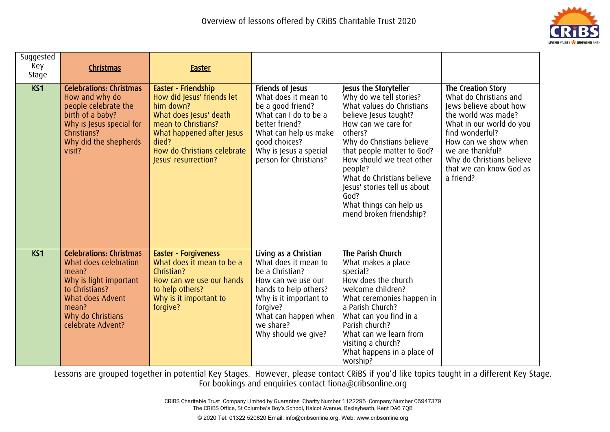

| Suggested<br>Key<br>Stage | Christmas                                                                                                                                                                           | <b>Easter</b>                                                                                                                                                                                                |                                                                                                                                                                                                                   |                                                                                                                                                                                                                                                                                                                                                                         |                                                                                                                                                                                                                                                               |
|---------------------------|-------------------------------------------------------------------------------------------------------------------------------------------------------------------------------------|--------------------------------------------------------------------------------------------------------------------------------------------------------------------------------------------------------------|-------------------------------------------------------------------------------------------------------------------------------------------------------------------------------------------------------------------|-------------------------------------------------------------------------------------------------------------------------------------------------------------------------------------------------------------------------------------------------------------------------------------------------------------------------------------------------------------------------|---------------------------------------------------------------------------------------------------------------------------------------------------------------------------------------------------------------------------------------------------------------|
| K51                       | <b>Celebrations: Christmas</b><br>How and why do<br>people celebrate the<br>birth of a baby?<br>Why is Jesus special for<br>Christians?<br>Why did the shepherds<br>visit?          | Easter - Friendship<br>How did Jesus' friends let<br>him down?<br>What does Jesus' death<br>mean to Christians?<br>What happened after Jesus<br>died?<br>How do Christians celebrate<br>Jesus' resurrection? | Friends of Jesus<br>What does it mean to<br>be a good friend?<br>What can I do to be a<br>better friend?<br>What can help us make<br>good choices?<br>Why is Jesus a special<br>person for Christians?            | Jesus the Storyteller<br>Why do we tell stories?<br>What values do Christians<br>believe Jesus taught?<br>How can we care for<br>others?<br>Why do Christians believe<br>that people matter to God?<br>How should we treat other<br>people?<br>What do Christians believe<br>Jesus' stories tell us about<br>God?<br>What things can help us<br>mend broken friendship? | The Creation Story<br>What do Christians and<br>Jews believe about how<br>the world was made?<br>What in our world do you<br>find wonderful?<br>How can we show when<br>we are thankful?<br>Why do Christians believe<br>that we can know God as<br>a friend? |
| K <sub>S</sub> 1          | <b>Celebrations: Christmas</b><br>What does celebration<br>mean?<br>Why is light important<br>to Christians?<br>What does Advent<br>mean?<br>Why do Christians<br>celebrate Advent? | <b>Easter - Forgiveness</b><br>What does it mean to be a<br>Christian?<br>How can we use our hands<br>to help others?<br>Why is it important to<br>forgive?                                                  | Living as a Christian<br>What does it mean to<br>be a Christian?<br>How can we use our<br>hands to help others?<br>Why is it important to<br>forgive?<br>What can happen when<br>we share?<br>Why should we give? | The Parish Church<br>What makes a place<br>special?<br>How does the church<br>welcome children?<br>What ceremonies happen in<br>a Parish Church?<br>What can you find in a<br>Parish church?<br>What can we learn from<br>visiting a church?<br>What happens in a place of<br>worship?                                                                                  |                                                                                                                                                                                                                                                               |

> CRIBS Charitable Trust Company Limited by Guarantee Charity Number 1122295 Company Number 05947379 The CRIBS Office, St Columba's Boy's School, Halcot Avenue, Bexleyheath, Kent DA6 7QB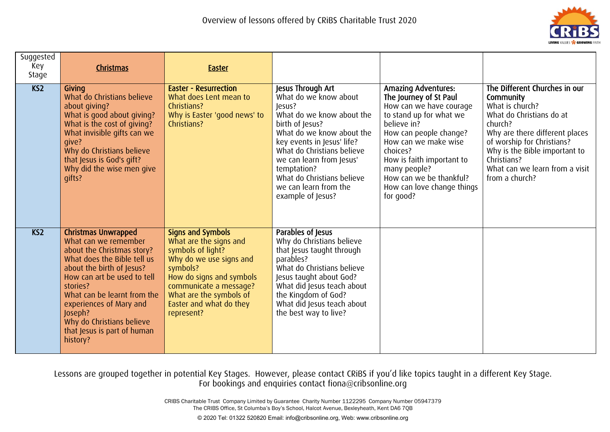

| Suggested<br>Key<br>Stage | Christmas                                                                                                                                                                                                                                                                                                                            | <b>Easter</b>                                                                                                                                                                                                                            |                                                                                                                                                                                                                                                                                                                      |                                                                                                                                                                                                                                                                                                            |                                                                                                                                                                                                                                                                          |
|---------------------------|--------------------------------------------------------------------------------------------------------------------------------------------------------------------------------------------------------------------------------------------------------------------------------------------------------------------------------------|------------------------------------------------------------------------------------------------------------------------------------------------------------------------------------------------------------------------------------------|----------------------------------------------------------------------------------------------------------------------------------------------------------------------------------------------------------------------------------------------------------------------------------------------------------------------|------------------------------------------------------------------------------------------------------------------------------------------------------------------------------------------------------------------------------------------------------------------------------------------------------------|--------------------------------------------------------------------------------------------------------------------------------------------------------------------------------------------------------------------------------------------------------------------------|
| KS <sub>2</sub>           | Givina<br>What do Christians believe<br>about giving?<br>What is good about giving?<br>What is the cost of giving?<br>What invisible gifts can we<br>qive?<br>Why do Christians believe<br>that Jesus is God's gift?<br>Why did the wise men give<br>qifts?                                                                          | <b>Easter - Resurrection</b><br>What does Lent mean to<br>Christians?<br>Why is Easter 'good news' to<br>Christians?                                                                                                                     | Jesus Through Art<br>What do we know about<br>Jesus?<br>What do we know about the<br>birth of Jesus?<br>What do we know about the<br>key events in Jesus' life?<br>What do Christians believe<br>we can learn from Jesus'<br>temptation?<br>What do Christians believe<br>we can learn from the<br>example of Jesus? | <b>Amazing Adventures:</b><br>The Journey of St Paul<br>How can we have courage<br>to stand up for what we<br>believe in?<br>How can people change?<br>How can we make wise<br>choices?<br>How is faith important to<br>many people?<br>How can we be thankful?<br>How can love change things<br>for good? | The Different Churches in our<br>Community<br>What is church?<br>What do Christians do at<br>church?<br>Why are there different places<br>of worship for Christians?<br>Why is the Bible important to<br>Christians?<br>What can we learn from a visit<br>from a church? |
| KS <sub>2</sub>           | <b>Christmas Unwrapped</b><br>What can we remember<br>about the Christmas story?<br>What does the Bible tell us<br>about the birth of Jesus?<br>How can art be used to tell<br>stories?<br>What can be learnt from the<br>experiences of Mary and<br>Joseph?<br>Why do Christians believe<br>that Jesus is part of human<br>history? | <b>Signs and Symbols</b><br>What are the signs and<br>symbols of light?<br>Why do we use signs and<br>symbols?<br>How do signs and symbols<br>communicate a message?<br>What are the symbols of<br>Easter and what do they<br>represent? | Parables of Jesus<br>Why do Christians believe<br>that Jesus taught through<br>parables?<br>What do Christians believe<br>Jesus taught about God?<br>What did Jesus teach about<br>the Kingdom of God?<br>What did Jesus teach about<br>the best way to live?                                                        |                                                                                                                                                                                                                                                                                                            |                                                                                                                                                                                                                                                                          |

> CRIBS Charitable Trust Company Limited by Guarantee Charity Number 1122295 Company Number 05947379 The CRIBS Office, St Columba's Boy's School, Halcot Avenue, Bexleyheath, Kent DA6 7QB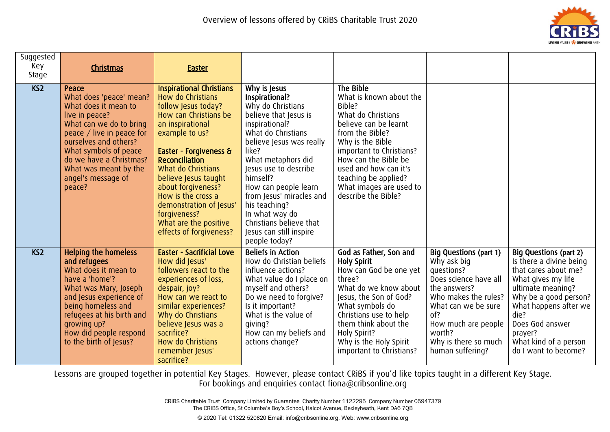

| Suggested<br>Key<br>Stage | <b>Christmas</b>                                                                                                                                                                                                                                                         | <b>Easter</b>                                                                                                                                                                                                                                                                                                                                                                          |                                                                                                                                                                                                                                                                                                                                                                                    |                                                                                                                                                                                                                                                                                             |                                                                                                                                                                                                                                 |                                                                                                                                                                                                                                                               |
|---------------------------|--------------------------------------------------------------------------------------------------------------------------------------------------------------------------------------------------------------------------------------------------------------------------|----------------------------------------------------------------------------------------------------------------------------------------------------------------------------------------------------------------------------------------------------------------------------------------------------------------------------------------------------------------------------------------|------------------------------------------------------------------------------------------------------------------------------------------------------------------------------------------------------------------------------------------------------------------------------------------------------------------------------------------------------------------------------------|---------------------------------------------------------------------------------------------------------------------------------------------------------------------------------------------------------------------------------------------------------------------------------------------|---------------------------------------------------------------------------------------------------------------------------------------------------------------------------------------------------------------------------------|---------------------------------------------------------------------------------------------------------------------------------------------------------------------------------------------------------------------------------------------------------------|
| KS <sub>2</sub>           | Peace<br>What does 'peace' mean?<br>What does it mean to<br>live in peace?<br>What can we do to bring<br>peace / live in peace for<br>ourselves and others?<br>What symbols of peace<br>do we have a Christmas?<br>What was meant by the<br>angel's message of<br>peace? | <b>Inspirational Christians</b><br>How do Christians<br>follow Jesus today?<br>How can Christians be<br>an inspirational<br>example to us?<br>Easter - Forgiveness &<br><b>Reconciliation</b><br>What do Christians<br>believe Jesus taught<br>about forgiveness?<br>How is the cross a<br>demonstration of Jesus'<br>forgiveness?<br>What are the positive<br>effects of forgiveness? | Why is Jesus<br>Inspirational?<br>Why do Christians<br>believe that Jesus is<br>inspirational?<br>What do Christians<br>believe Jesus was really<br>like?<br>What metaphors did<br>Jesus use to describe<br>himself?<br>How can people learn<br>from Jesus' miracles and<br>his teaching?<br>In what way do<br>Christians believe that<br>Jesus can still inspire<br>people today? | The Bible<br>What is known about the<br>Bible?<br>What do Christians<br>believe can be learnt<br>from the Bible?<br>Why is the Bible<br>important to Christians?<br>How can the Bible be<br>used and how can it's<br>teaching be applied?<br>What images are used to<br>describe the Bible? |                                                                                                                                                                                                                                 |                                                                                                                                                                                                                                                               |
| K <sub>S</sub> 2          | <b>Helping the homeless</b><br>and refugees<br>What does it mean to<br>have a 'home'?<br>What was Mary, Joseph<br>and Jesus experience of<br>being homeless and<br>refugees at his birth and<br>qrowing up?<br>How did people respond<br>to the birth of Jesus?          | <b>Easter - Sacrificial Love</b><br>How did Jesus'<br>followers react to the<br>experiences of loss,<br>despair, joy?<br>How can we react to<br>similar experiences?<br>Why do Christians<br>believe Jesus was a<br>sacrifice?<br>How do Christians<br>remember Jesus'<br>sacrifice?                                                                                                   | <b>Beliefs in Action</b><br>How do Christian beliefs<br>influence actions?<br>What value do I place on<br>myself and others?<br>Do we need to forgive?<br>Is it important?<br>What is the value of<br>qiving?<br>How can my beliefs and<br>actions change?                                                                                                                         | God as Father, Son and<br><b>Holy Spirit</b><br>How can God be one yet<br>three?<br>What do we know about<br>Jesus, the Son of God?<br>What symbols do<br>Christians use to help<br>them think about the<br>Holy Spirit?<br>Why is the Holy Spirit<br>important to Christians?              | Big Questions (part 1)<br>Why ask big<br>questions?<br>Does science have all<br>the answers?<br>Who makes the rules?<br>What can we be sure<br>of?<br>How much are people<br>worth?<br>Why is there so much<br>human suffering? | Big Questions (part 2)<br>Is there a divine being<br>that cares about me?<br>What gives my life<br>ultimate meaning?<br>Why be a good person?<br>What happens after we<br>die?<br>Does God answer<br>prayer?<br>What kind of a person<br>do I want to become? |

> CRIBS Charitable Trust Company Limited by Guarantee Charity Number 1122295 Company Number 05947379 The CRIBS Office, St Columba's Boy's School, Halcot Avenue, Bexleyheath, Kent DA6 7QB